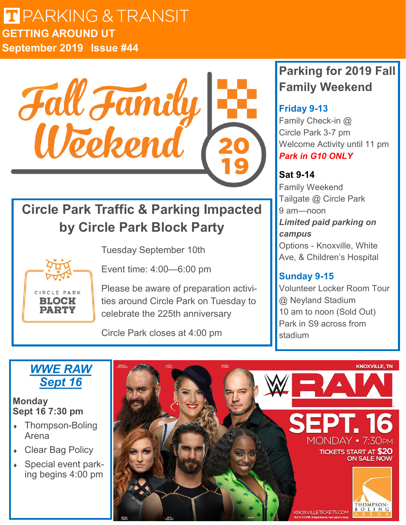## $F = \sqrt{N}$ **LI** PARKIN **Issue 44 GETTING AROUND UT September 2019 Issue #44**



# **Circle Park Traffic & Parking Impacted by Circle Park Block Party**



Tuesday September 10th

Event time: 4:00—6:00 pm

Please be aware of preparation activities around Circle Park on Tuesday to celebrate the 225th anniversary

Circle Park closes at 4:00 pm

# **Parking for 2019 Fall Family Weekend**

### **Friday 9-13**

Family Check-in @ Circle Park 3-7 pm Welcome Activity until 11 pm *Park in G10 ONLY*

### **Sat 9-14**

Family Weekend Tailgate @ Circle Park 9 am—noon *Limited paid parking on campus* Options - Knoxville, White Ave, & Children's Hospital

## **Sunday 9-15**

Volunteer Locker Room Tour @ Neyland Stadium 10 am to noon (Sold Out) Park in S9 across from stadium

## *WWE RAW Sept 16*

### **Monday Sept 16 7:30 pm**

- Thompson-Boling Arena
- Clear Bag Policy
- Special event parking begins 4:00 pm

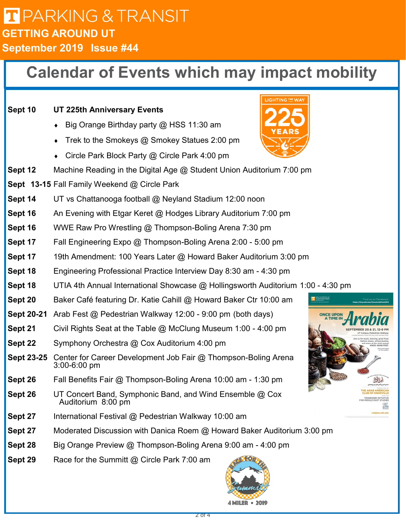## $F = \sqrt{N}$ **LI** PARKIN **Issue 44 GETTING AROUND UT September 2019 Issue #44**

# **Calendar of Events which may impact mobility**



4 MILER • 2019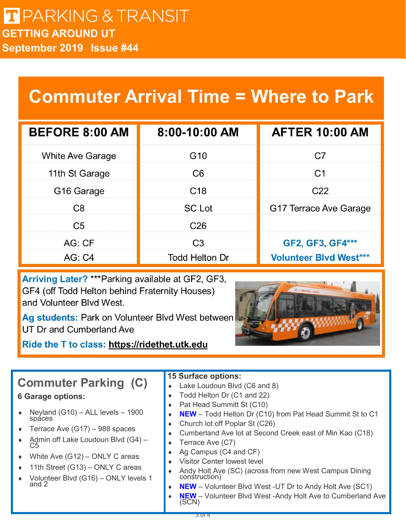# **Commuter Arrival Time = Where to Park**

| <b>BEFORE 8:00 AM</b>   | 8:00-10:00 AM         | <b>AFTER 10:00 AM</b>         |
|-------------------------|-----------------------|-------------------------------|
| <b>White Ave Garage</b> | G <sub>10</sub>       | C.7                           |
| 11th St Garage          | C <sub>6</sub>        | C1                            |
| G <sub>16</sub> Garage  | C <sub>18</sub>       | C22                           |
| C <sub>8</sub>          | <b>SC</b> Lot         | G17 Terrace Ave Garage        |
| C <sub>5</sub>          | C <sub>26</sub>       |                               |
| AG:CF                   | C <sub>3</sub>        | GF2, GF3, GF4***              |
| AG: C4                  | <b>Todd Helton Dr</b> | <b>Volunteer Blvd West***</b> |

Arriving Later? \*\*\* Parking available at GF2, GF3, GF4 (off Todd Helton behind Fraternity Houses) and Volunteer Blvd West.

Ag students: Park on Volunteer Blvd West between UT Dr and Cumberland Ave

Ride the T to class: https://ridethet.utk.edu



# **Commuter Parking (C)**

### **6 Garage options:**

- Neyland (G10) ALL levels 1900 spaces
- $\arrow$  Terrace Ave (G17) 988 spaces
- ◆ Admin off Lake Loudoun Blvd (G4) C5
- White Ave (G12) ONLY C areas
- $\triangleleft$  11th Street (G13) ONLY C areas
- Volunteer Blvd (G16) ONLY levels 1 and 2

#### **15 Surface options:**

- Lake Loudoun Blvd (C6 and 8)
- Todd Helton Dr (C1 and 22)
- Pat Head Summitt St (C10)
- **NEW** Todd Helton Dr (C10) from Pat Head Summit St to C1
- ◆ Church lot off Poplar St (C26)
- Cumberland Ave lot at Second Creek east of Min Kao (C18)
- Terrace Ave (C7)
- Ag Campus (C4 and CF)
- Visitor Center lowest level
- ◆ Andy Holt Ave (SC) (across from new West Campus Dining construction)
- **NEW** Volunteer Blvd West -UT Dr to Andy Holt Ave (SC1)
	- **NEW** Volunteer Blvd West -Andy Holt Ave to Cumberland Ave (SCN)